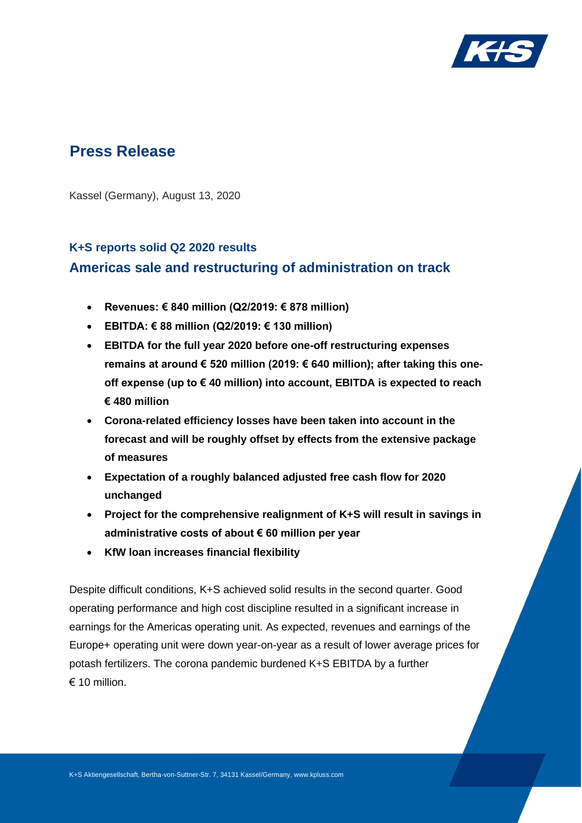

# **Press Release**

Kassel (Germany), August 13, 2020

## **K+S reports solid Q2 2020 results Americas sale and restructuring of administration on track**

- **Revenues: € 840 million (Q2/2019: € 878 million)**
- **EBITDA: € 88 million (Q2/2019: € 130 million)**
- **EBITDA for the full year 2020 before one-off restructuring expenses remains at around € 520 million (2019: € 640 million); after taking this oneoff expense (up to € 40 million) into account, EBITDA is expected to reach € 480 million**
- **Corona-related efficiency losses have been taken into account in the forecast and will be roughly offset by effects from the extensive package of measures**
- **Expectation of a roughly balanced adjusted free cash flow for 2020 unchanged**
- **Project for the comprehensive realignment of K+S will result in savings in administrative costs of about € 60 million per year**
- **KfW loan increases financial flexibility**

Despite difficult conditions, K+S achieved solid results in the second quarter. Good operating performance and high cost discipline resulted in a significant increase in earnings for the Americas operating unit. As expected, revenues and earnings of the Europe+ operating unit were down year-on-year as a result of lower average prices for potash fertilizers. The corona pandemic burdened K+S EBITDA by a further  $\epsilon$  10 million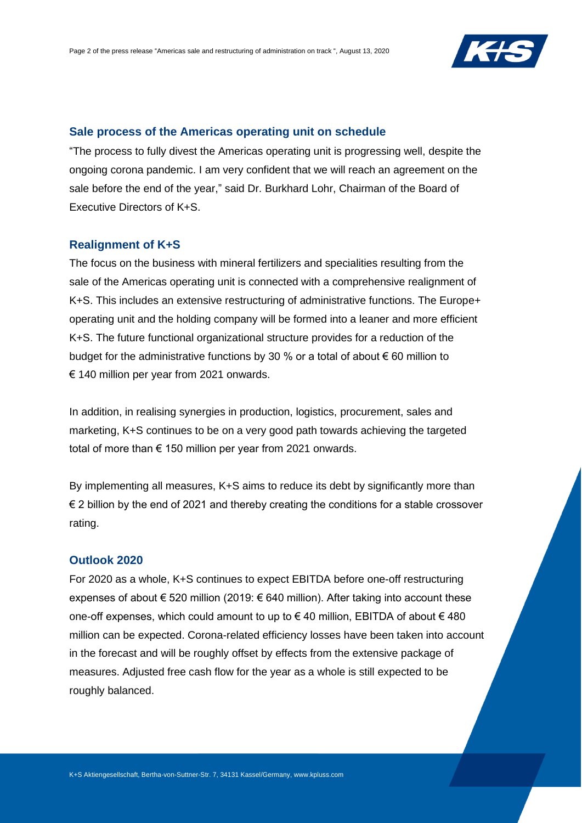

#### **Sale process of the Americas operating unit on schedule**

"The process to fully divest the Americas operating unit is progressing well, despite the ongoing corona pandemic. I am very confident that we will reach an agreement on the sale before the end of the year," said Dr. Burkhard Lohr, Chairman of the Board of Executive Directors of K+S.

### **Realignment of K+S**

The focus on the business with mineral fertilizers and specialities resulting from the sale of the Americas operating unit is connected with a comprehensive realignment of K+S. This includes an extensive restructuring of administrative functions. The Europe+ operating unit and the holding company will be formed into a leaner and more efficient K+S. The future functional organizational structure provides for a reduction of the budget for the administrative functions by 30 % or a total of about  $\epsilon$  60 million to € 140 million per year from 2021 onwards.

In addition, in realising synergies in production, logistics, procurement, sales and marketing, K+S continues to be on a very good path towards achieving the targeted total of more than  $\epsilon$  150 million per year from 2021 onwards.

By implementing all measures, K+S aims to reduce its debt by significantly more than € 2 billion by the end of 2021 and thereby creating the conditions for a stable crossover rating.

#### **Outlook 2020**

For 2020 as a whole, K+S continues to expect EBITDA before one-off restructuring expenses of about  $\epsilon$  520 million (2019:  $\epsilon$  640 million). After taking into account these one-off expenses, which could amount to up to €40 million, EBITDA of about  $€480$ million can be expected. Corona-related efficiency losses have been taken into account in the forecast and will be roughly offset by effects from the extensive package of measures. Adjusted free cash flow for the year as a whole is still expected to be roughly balanced.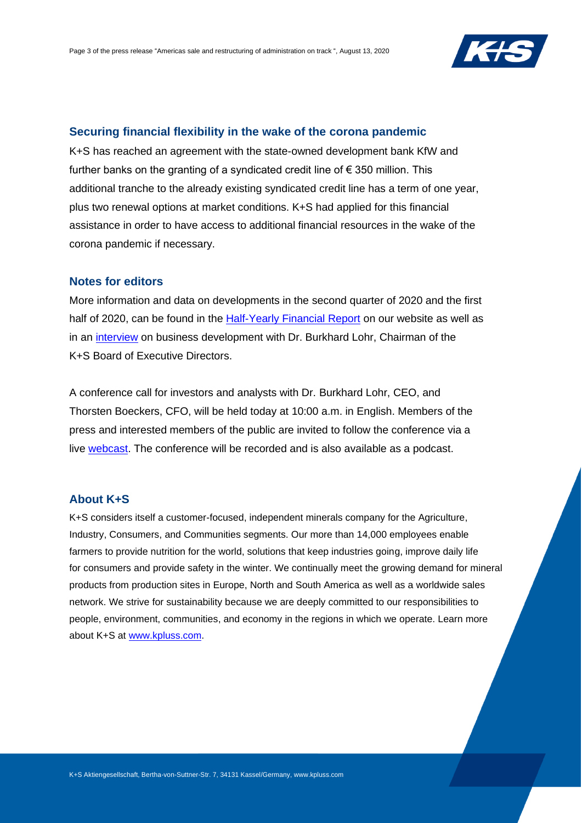

#### **Securing financial flexibility in the wake of the corona pandemic**

K+S has reached an agreement with the state-owned development bank KfW and further banks on the granting of a syndicated credit line of  $\epsilon$  350 million. This additional tranche to the already existing syndicated credit line has a term of one year, plus two renewal options at market conditions. K+S had applied for this financial assistance in order to have access to additional financial resources in the wake of the corona pandemic if necessary.

#### **Notes for editors**

More information and data on developments in the second quarter of 2020 and the first half of 2020, can be found in the [Half-Yearly Financial Report](http://www.kpluss.com/financial-publications) on our website as well as in an [interview](http://www.kpluss.com/video-interview) on business development with Dr. Burkhard Lohr, Chairman of the K+S Board of Executive Directors.

A conference call for investors and analysts with Dr. Burkhard Lohr, CEO, and Thorsten Boeckers, CFO, will be held today at 10:00 a.m. in English. Members of the press and interested members of the public are invited to follow the conference via a live [webcast.](http://www.kpluss.com/cc) The conference will be recorded and is also available as a podcast.

### **About K+S**

K+S considers itself a customer-focused, independent minerals company for the Agriculture, Industry, Consumers, and Communities segments. Our more than 14,000 employees enable farmers to provide nutrition for the world, solutions that keep industries going, improve daily life for consumers and provide safety in the winter. We continually meet the growing demand for mineral products from production sites in Europe, North and South America as well as a worldwide sales network. We strive for sustainability because we are deeply committed to our responsibilities to people, environment, communities, and economy in the regions in which we operate. Learn more about K+S at [www.kpluss.com.](http://www.kpluss.com/)